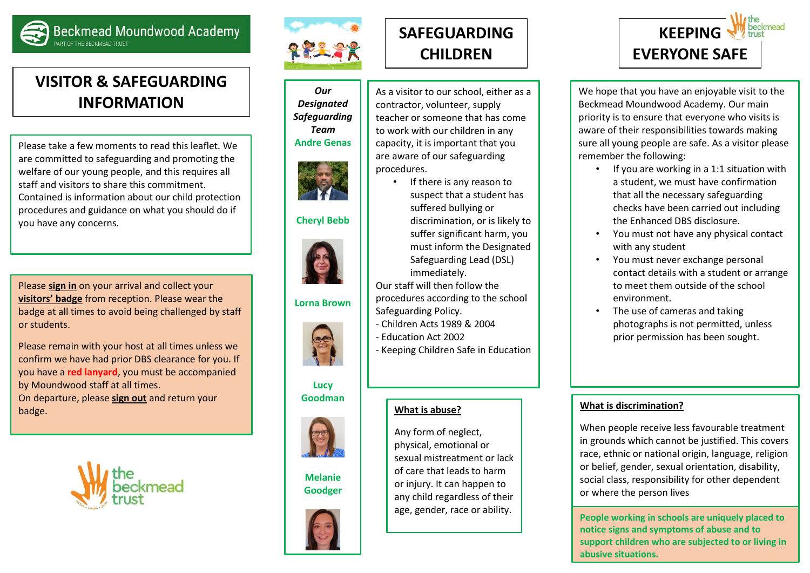

**Beckmead Moundwood Academy** 

# **VISITOR & SAFEGUARDING INFORMATION**

Please take a few moments to read this leaflet. We are committed to safeguarding and promoting the welfare of our young people, and this requires all staff and visitors to share this commitment. Contained is information about our child protection procedures and guidance on what you should do if you have any concerns.

Please **sign in** on your arrival and collect your **visitors' badge** from reception. Please wear the badge at all times to avoid being challenged by staff or students.

Please remain with your host at all times unless we confirm we have had prior DBS clearance for you. If you have a **red lanyard**, you must be accompanied by Moundwood staff at all times. On departure, please **sign out** and return your badge.





#### *Our Designated Safeguarding Team*





### **Cheryl Bebb**



#### **Lorna Brown**



**Lucy Goodman**



### **Melanie Goodger**



# **SAFEGUARDING CHILDREN**

As a visitor to our school, either as a contractor, volunteer, supply teacher or someone that has come to work with our children in any capacity, it is important that you are aware of our safeguarding procedures.

> • If there is any reason to suspect that a student has suffered bullying or discrimination, or is likely to suffer significant harm, you must inform the Designated Safeguarding Lead (DSL) immediately.

Our staff will then follow the procedures according to the school Safeguarding Policy.

- Children Acts 1989 & 2004
- Education Act 2002
- Keeping Children Safe in Education

#### **What is abuse?**

Any form of neglect, physical, emotional or sexual mistreatment or lack of care that leads to harm or injury. It can happen to any child regardless of their age, gender, race or ability.



We hope that you have an enjoyable visit to the Beckmead Moundwood Academy. Our main priority is to ensure that everyone who visits is aware of their responsibilities towards making sure all young people are safe. As a visitor please remember the following:

- If you are working in a 1:1 situation with a student, we must have confirmation that all the necessary safeguarding checks have been carried out including the Enhanced DBS disclosure.
- You must not have any physical contact with any student
- You must never exchange personal contact details with a student or arrange to meet them outside of the school environment.
- The use of cameras and taking photographs is not permitted, unless prior permission has been sought.

#### **What is discrimination?**

When people receive less favourable treatment in grounds which cannot be justified. This covers race, ethnic or national origin, language, religion or belief, gender, sexual orientation, disability, social class, responsibility for other dependent or where the person lives

**People working in schools are uniquely placed to notice signs and symptoms of abuse and to support children who are subjected to or living in abusive situations.**